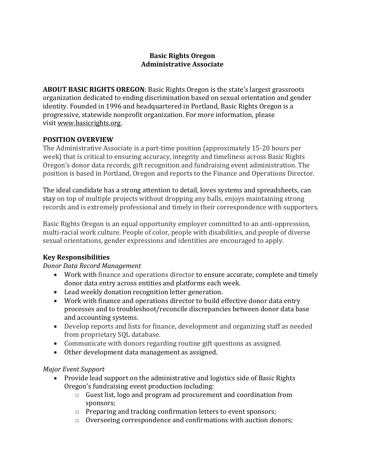#### **Basic Rights Oregon Administrative Associate**

**ABOUT BASIC RIGHTS OREGON**: Basic Rights Oregon is the state's largest grassroots organization dedicated to ending discrimination based on sexual orientation and gender identity. Founded in 1996 and headquartered in Portland, Basic Rights Oregon is a progressive, statewide nonprofit organization. For more information, please visit www.basicrights.org.

#### **POSITION OVERVIEW**

The Administrative Associate is a part-time position (approximately 15-20 hours per week) that is critical to ensuring accuracy, integrity and timeliness across Basic Rights Oregon's donor data records, gift recognition and fundraising event administration. The position is based in Portland, Oregon and reports to the Finance and Operations Director.

The ideal candidate has a strong attention to detail, loves systems and spreadsheets, can stay on top of multiple projects without dropping any balls, enjoys maintaining strong records and is extremely professional and timely in their correspondence with supporters.

Basic Rights Oregon is an equal opportunity employer committed to an anti-oppression, multi-racial work culture. People of color, people with disabilities, and people of diverse sexual orientations, gender expressions and identities are encouraged to apply.

# **Key Responsibilities**

#### *Donor Data Record Management*

- Work with finance and operations director to ensure accurate, complete and timely donor data entry across entities and platforms each week.
- Lead weekly donation recognition letter generation.
- Work with finance and operations director to build effective donor data entry processes and to troubleshoot/reconcile discrepancies between donor data base and accounting systems.
- Develop reports and lists for finance, development and organizing staff as needed from proprietary SQL database.
- Communicate with donors regarding routine gift questions as assigned.
- Other development data management as assigned.

# *Major Event Support*

- Provide lead support on the administrative and logistics side of Basic Rights Oregon's fundraising event production including:
	- o Guest list, logo and program ad procurement and coordination from sponsors;
	- o Preparing and tracking confirmation letters to event sponsors;
	- o Overseeing correspondence and confirmations with auction donors;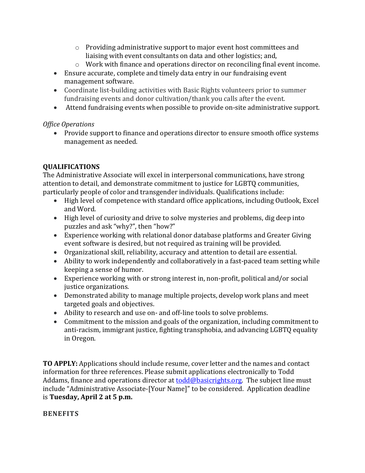- $\circ$  Providing administrative support to major event host committees and liaising with event consultants on data and other logistics; and,
- $\circ$  Work with finance and operations director on reconciling final event income.
- Ensure accurate, complete and timely data entry in our fundraising event management software.
- Coordinate list-building activities with Basic Rights volunteers prior to summer fundraising events and donor cultivation/thank you calls after the event.
- Attend fundraising events when possible to provide on-site administrative support.

# *Office Operations*

• Provide support to finance and operations director to ensure smooth office systems management as needed.

# **QUALIFICATIONS**

The Administrative Associate will excel in interpersonal communications, have strong attention to detail, and demonstrate commitment to justice for LGBTQ communities, particularly people of color and transgender individuals. Qualifications include:

- High level of competence with standard office applications, including Outlook, Excel and Word.
- High level of curiosity and drive to solve mysteries and problems, dig deep into puzzles and ask "why?", then "how?"
- Experience working with relational donor database platforms and Greater Giving event software is desired, but not required as training will be provided.
- Organizational skill, reliability, accuracy and attention to detail are essential.
- Ability to work independently and collaboratively in a fast-paced team setting while keeping a sense of humor.
- Experience working with or strong interest in, non-profit, political and/or social justice organizations.
- Demonstrated ability to manage multiple projects, develop work plans and meet targeted goals and objectives.
- Ability to research and use on- and off-line tools to solve problems.
- Commitment to the mission and goals of the organization, including commitment to anti-racism, immigrant justice, fighting transphobia, and advancing LGBTQ equality in Oregon.

**TO APPLY:** Applications should include resume, cover letter and the names and contact information for three references. Please submit applications electronically to Todd Addams, finance and operations director at  $todd@basicrights.org.$  The subject line must</u> include "Administrative Associate-[Your Name]" to be considered. Application deadline is **Tuesday, April 2 at 5 p.m.**

# **BENEFITS**